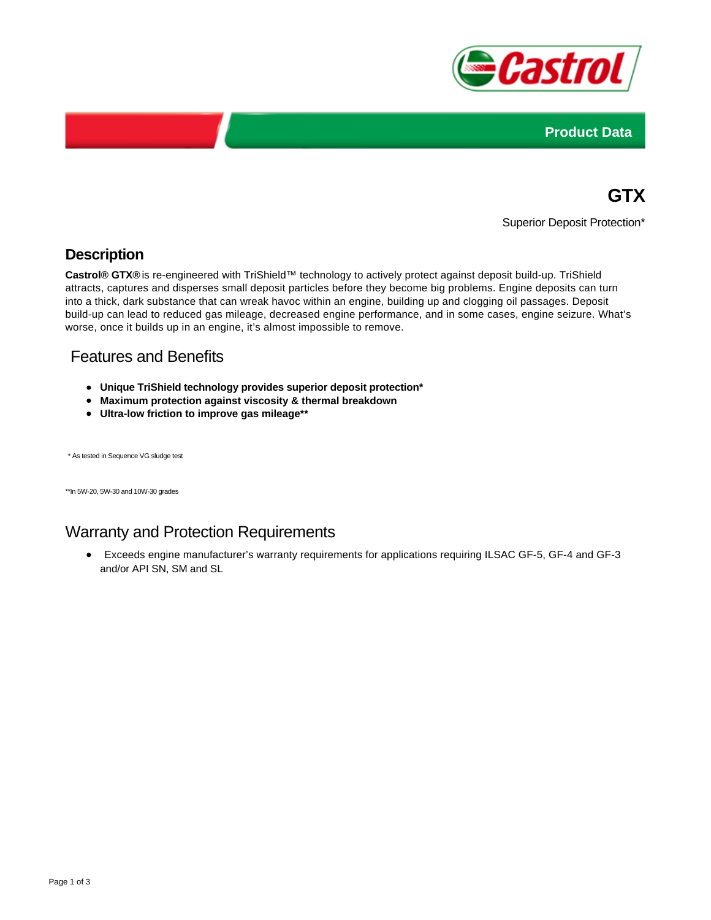



# **GTX**

Superior Deposit Protection\*

## **Description**

**Castrol® GTX®** is re-engineered with TriShield™ technology to actively protect against deposit build-up. TriShield attracts, captures and disperses small deposit particles before they become big problems. Engine deposits can turn into a thick, dark substance that can wreak havoc within an engine, building up and clogging oil passages. Deposit build-up can lead to reduced gas mileage, decreased engine performance, and in some cases, engine seizure. What's worse, once it builds up in an engine, it's almost impossible to remove.

## Features and Benefits

- **Unique TriShield technology provides superior deposit protection\***
- **Maximum protection against viscosity & thermal breakdown**
- **Ultra-low friction to improve gas mileage\*\***

\* As tested in Sequence VG sludge test

\*\*In 5W-20, 5W-30 and 10W-30 grades

# Warranty and Protection Requirements

Exceeds engine manufacturer's warranty requirements for applications requiring ILSAC GF-5, GF-4 and GF-3 and/or API SN, SM and SL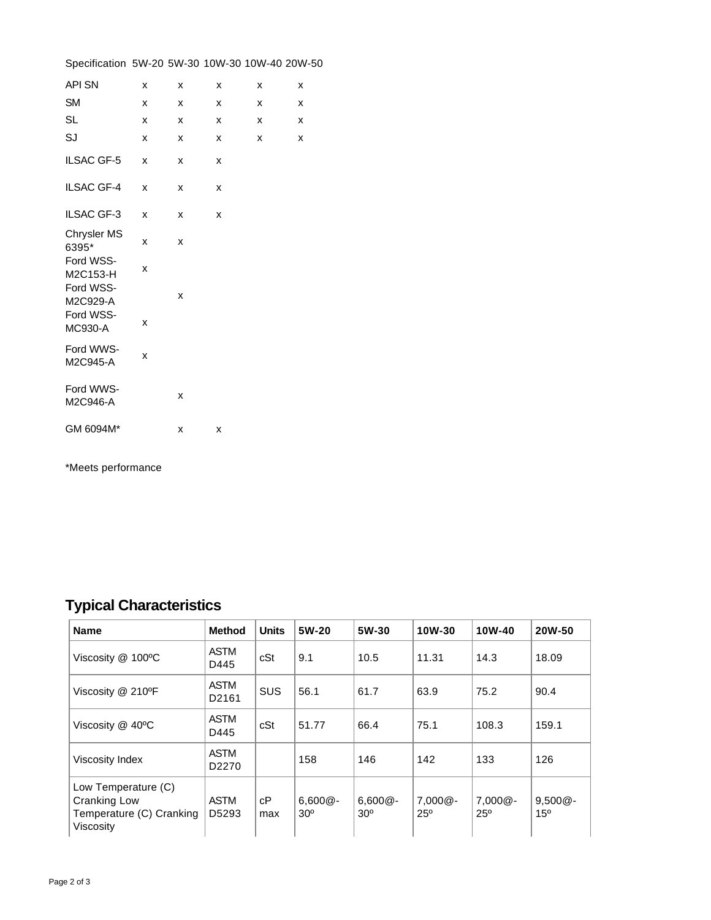| Specification 5W-20 5W-30 10W-30 10W-40 20W-50 |   |   |   |   |   |
|------------------------------------------------|---|---|---|---|---|
| <b>API SN</b>                                  | x | X | x | x | x |
| <b>SM</b>                                      | x | x | x | x | x |
| <b>SL</b>                                      | x | x | x | x | x |
| SJ                                             | x | x | x | x | x |
| <b>ILSAC GF-5</b>                              | x | x | x |   |   |
| <b>ILSAC GF-4</b>                              | x | x | x |   |   |
| ILSAC GF-3                                     | X | X | X |   |   |
| <b>Chrysler MS</b><br>6395*                    | x | x |   |   |   |
| Ford WSS-<br>M2C153-H                          | x |   |   |   |   |
| Ford WSS-<br>M2C929-A                          |   | X |   |   |   |
| Ford WSS-<br><b>MC930-A</b>                    | x |   |   |   |   |
| Ford WWS-<br>M2C945-A                          | X |   |   |   |   |
| Ford WWS-<br>M2C946-A                          |   | X |   |   |   |
| GM 6094M*                                      |   | X | x |   |   |

\*Meets performance

# **Typical Characteristics**

| <b>Name</b>                                                                  | <b>Method</b>                    | <b>Units</b> | 5W-20                         | 5W-30                    | 10W-30                   | 10W-40                     | 20W-50                        |
|------------------------------------------------------------------------------|----------------------------------|--------------|-------------------------------|--------------------------|--------------------------|----------------------------|-------------------------------|
| Viscosity @ 100°C                                                            | <b>ASTM</b><br>D445              | cSt          | 9.1                           | 10.5                     | 11.31                    | 14.3                       | 18.09                         |
| Viscosity @ 210°F                                                            | <b>ASTM</b><br>D <sub>2161</sub> | <b>SUS</b>   | 56.1                          | 61.7                     | 63.9                     | 75.2                       | 90.4                          |
| Viscosity $@$ 40 $°C$                                                        | <b>ASTM</b><br>D445              | cSt          | 51.77                         | 66.4                     | 75.1                     | 108.3                      | 159.1                         |
| Viscosity Index                                                              | <b>ASTM</b><br>D <sub>2270</sub> |              | 158                           | 146                      | 142                      | 133                        | 126                           |
| Low Temperature (C)<br>Cranking Low<br>Temperature (C) Cranking<br>Viscosity | <b>ASTM</b><br>D5293             | сP<br>max    | $6,600@ -$<br>30 <sup>o</sup> | $6,600@ -$<br>$30^\circ$ | $7,000@ -$<br>$25^\circ$ | $7,000@ -$<br>$25^{\circ}$ | $9,500@ -$<br>15 <sup>o</sup> |